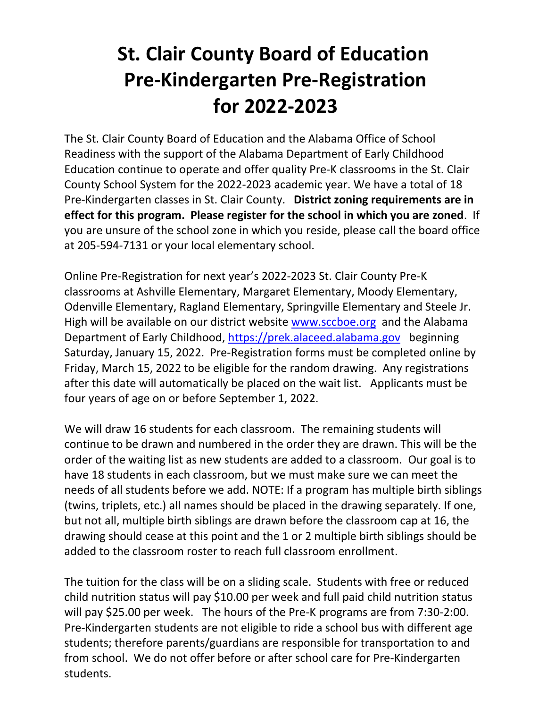## **St. Clair County Board of Education Pre-Kindergarten Pre-Registration for 2022-2023**

The St. Clair County Board of Education and the Alabama Office of School Readiness with the support of the Alabama Department of Early Childhood Education continue to operate and offer quality Pre-K classrooms in the St. Clair County School System for the 2022-2023 academic year. We have a total of 18 Pre-Kindergarten classes in St. Clair County. **District zoning requirements are in effect for this program. Please register for the school in which you are zoned**. If you are unsure of the school zone in which you reside, please call the board office at 205-594-7131 or your local elementary school.

Online Pre-Registration for next year's 2022-2023 St. Clair County Pre-K classrooms at Ashville Elementary, Margaret Elementary, Moody Elementary, Odenville Elementary, Ragland Elementary, Springville Elementary and Steele Jr. High will be available on our district website [www.sccboe.org](http://www.sccboe.org/) and the Alabama Department of Early Childhood, [https://prek.alaceed.alabama.gov](https://prek.alaceed.alabama.gov/) beginning Saturday, January 15, 2022. Pre-Registration forms must be completed online by Friday, March 15, 2022 to be eligible for the random drawing. Any registrations after this date will automatically be placed on the wait list. Applicants must be four years of age on or before September 1, 2022.

We will draw 16 students for each classroom. The remaining students will continue to be drawn and numbered in the order they are drawn. This will be the order of the waiting list as new students are added to a classroom. Our goal is to have 18 students in each classroom, but we must make sure we can meet the needs of all students before we add. NOTE: If a program has multiple birth siblings (twins, triplets, etc.) all names should be placed in the drawing separately. If one, but not all, multiple birth siblings are drawn before the classroom cap at 16, the drawing should cease at this point and the 1 or 2 multiple birth siblings should be added to the classroom roster to reach full classroom enrollment.

The tuition for the class will be on a sliding scale. Students with free or reduced child nutrition status will pay \$10.00 per week and full paid child nutrition status will pay \$25.00 per week. The hours of the Pre-K programs are from 7:30-2:00. Pre-Kindergarten students are not eligible to ride a school bus with different age students; therefore parents/guardians are responsible for transportation to and from school. We do not offer before or after school care for Pre-Kindergarten students.